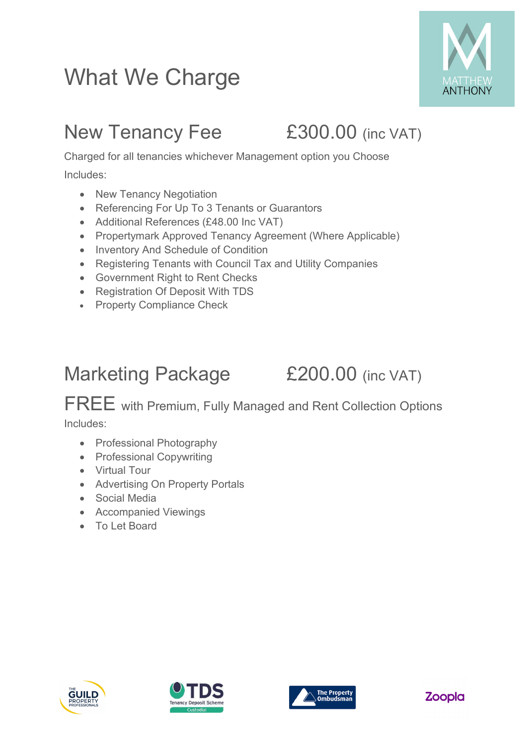## What We Charge



### New Tenancy Fee £300.00 (inc VAT)

Charged for all tenancies whichever Management option you Choose Includes:

- New Tenancy Negotiation
- Referencing For Up To 3 Tenants or Guarantors
- Additional References (£48.00 Inc VAT)
- Propertymark Approved Tenancy Agreement (Where Applicable)
- Inventory And Schedule of Condition
- Registering Tenants with Council Tax and Utility Companies
- Government Right to Rent Checks
- Registration Of Deposit With TDS
- Property Compliance Check

### Marketing Package £200.00 (inc VAT)

FREE with Premium, Fully Managed and Rent Collection Options Includes:

- Professional Photography
- Professional Copywriting
- Virtual Tour
- Advertising On Property Portals
- Social Media
- Accompanied Viewings
- To Let Board







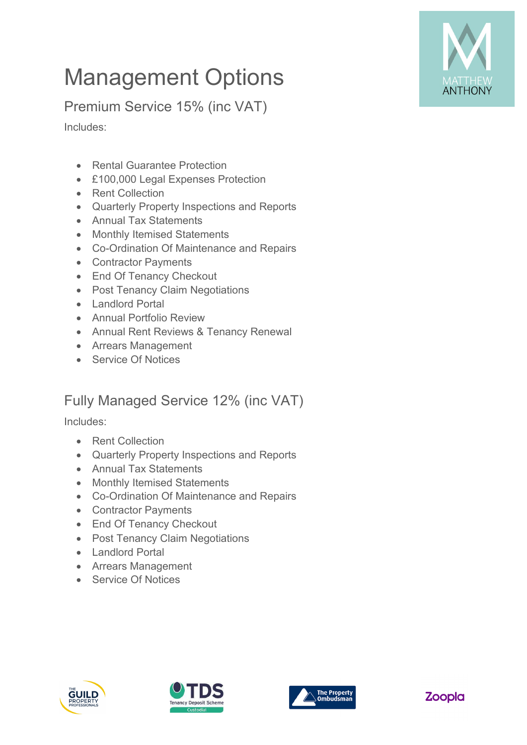

# Management Options

Premium Service 15% (inc VAT)

Includes:

- Rental Guarantee Protection
- £100,000 Legal Expenses Protection
- Rent Collection
- Quarterly Property Inspections and Reports
- Annual Tax Statements
- Monthly Itemised Statements
- Co-Ordination Of Maintenance and Repairs
- Contractor Payments
- End Of Tenancy Checkout
- Post Tenancy Claim Negotiations
- Landlord Portal
- Annual Portfolio Review
- Annual Rent Reviews & Tenancy Renewal
- Arrears Management
- Service Of Notices

#### Fully Managed Service 12% (inc VAT)

Includes:

- **Rent Collection**
- Quarterly Property Inspections and Reports
- Annual Tax Statements
- Monthly Itemised Statements
- Co-Ordination Of Maintenance and Repairs
- Contractor Payments
- End Of Tenancy Checkout
- Post Tenancy Claim Negotiations
- Landlord Portal
- Arrears Management
- Service Of Notices